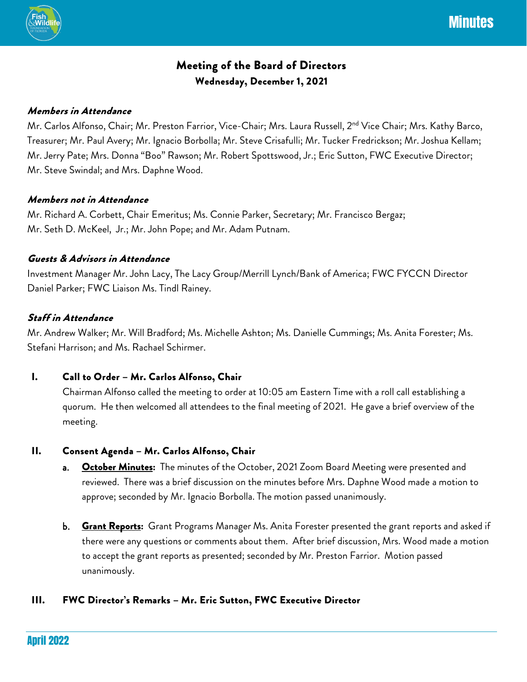

# Meeting of the Board of Directors Wednesday, December 1, 2021

## Members in Attendance

Mr. Carlos Alfonso, Chair; Mr. Preston Farrior, Vice-Chair; Mrs. Laura Russell, 2<sup>nd</sup> Vice Chair; Mrs. Kathy Barco, Treasurer; Mr. Paul Avery; Mr. Ignacio Borbolla; Mr. Steve Crisafulli; Mr. Tucker Fredrickson; Mr. Joshua Kellam; Mr. Jerry Pate; Mrs. Donna "Boo" Rawson; Mr. Robert Spottswood, Jr.; Eric Sutton, FWC Executive Director; Mr. Steve Swindal; and Mrs. Daphne Wood.

#### Members not in Attendance

Mr. Richard A. Corbett, Chair Emeritus; Ms. Connie Parker, Secretary; Mr. Francisco Bergaz; Mr. Seth D. McKeel, Jr.; Mr. John Pope; and Mr. Adam Putnam.

#### Guests & Advisors in Attendance

Investment Manager Mr. John Lacy, The Lacy Group/Merrill Lynch/Bank of America; FWC FYCCN Director Daniel Parker; FWC Liaison Ms. Tindl Rainey.

## Staff in Attendance

Mr. Andrew Walker; Mr. Will Bradford; Ms. Michelle Ashton; Ms. Danielle Cummings; Ms. Anita Forester; Ms. Stefani Harrison; and Ms. Rachael Schirmer.

## I. Call to Order – Mr. Carlos Alfonso, Chair

Chairman Alfonso called the meeting to order at 10:05 am Eastern Time with a roll call establishing a quorum. He then welcomed all attendees to the final meeting of 2021. He gave a brief overview of the meeting.

## II. Consent Agenda – Mr. Carlos Alfonso, Chair

- a. Chetaber Minutes: The minutes of the October, 2021 Zoom Board Meeting were presented and reviewed. There was a brief discussion on the minutes before Mrs. Daphne Wood made a motion to approve; seconded by Mr. Ignacio Borbolla. The motion passed unanimously.
- b. Grant Reports: Grant Programs Manager Ms. Anita Forester presented the grant reports and asked if there were any questions or comments about them. After brief discussion, Mrs. Wood made a motion to accept the grant reports as presented; seconded by Mr. Preston Farrior. Motion passed unanimously.

## III. FWC Director's Remarks – Mr. Eric Sutton, FWC Executive Director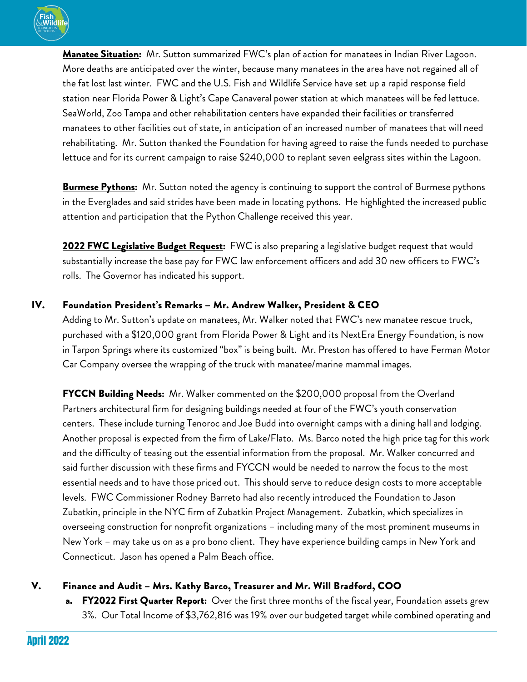

Manatee Situation: Mr. Sutton summarized FWC's plan of action for manatees in Indian River Lagoon. More deaths are anticipated over the winter, because many manatees in the area have not regained all of the fat lost last winter. FWC and the U.S. Fish and Wildlife Service have set up a rapid response field station near Florida Power & Light's Cape Canaveral power station at which manatees will be fed lettuce. SeaWorld, Zoo Tampa and other rehabilitation centers have expanded their facilities or transferred manatees to other facilities out of state, in anticipation of an increased number of manatees that will need rehabilitating. Mr. Sutton thanked the Foundation for having agreed to raise the funds needed to purchase lettuce and for its current campaign to raise \$240,000 to replant seven eelgrass sites within the Lagoon.

**Burmese Pythons:** Mr. Sutton noted the agency is continuing to support the control of Burmese pythons in the Everglades and said strides have been made in locating pythons. He highlighted the increased public attention and participation that the Python Challenge received this year.

**2022 FWC Legislative Budget Request:** FWC is also preparing a legislative budget request that would substantially increase the base pay for FWC law enforcement officers and add 30 new officers to FWC's rolls. The Governor has indicated his support.

## IV. Foundation President's Remarks – Mr. Andrew Walker, President & CEO

Adding to Mr. Sutton's update on manatees, Mr. Walker noted that FWC's new manatee rescue truck, purchased with a \$120,000 grant from Florida Power & Light and its NextEra Energy Foundation, is now in Tarpon Springs where its customized "box" is being built. Mr. Preston has offered to have Ferman Motor Car Company oversee the wrapping of the truck with manatee/marine mammal images.

FYCCN Building Needs: Mr. Walker commented on the \$200,000 proposal from the Overland Partners architectural firm for designing buildings needed at four of the FWC's youth conservation centers. These include turning Tenoroc and Joe Budd into overnight camps with a dining hall and lodging. Another proposal is expected from the firm of Lake/Flato. Ms. Barco noted the high price tag for this work and the difficulty of teasing out the essential information from the proposal. Mr. Walker concurred and said further discussion with these firms and FYCCN would be needed to narrow the focus to the most essential needs and to have those priced out. This should serve to reduce design costs to more acceptable levels. FWC Commissioner Rodney Barreto had also recently introduced the Foundation to Jason Zubatkin, principle in the NYC firm of Zubatkin Project Management. Zubatkin, which specializes in overseeing construction for nonprofit organizations – including many of the most prominent museums in New York – may take us on as a pro bono client. They have experience building camps in New York and Connecticut. Jason has opened a Palm Beach office.

## V. Finance and Audit – Mrs. Kathy Barco, Treasurer and Mr. Will Bradford, COO

FY2022 First Quarter Report: Over the first three months of the fiscal year, Foundation assets grew 3%. Our Total Income of \$3,762,816 was 19% over our budgeted target while combined operating and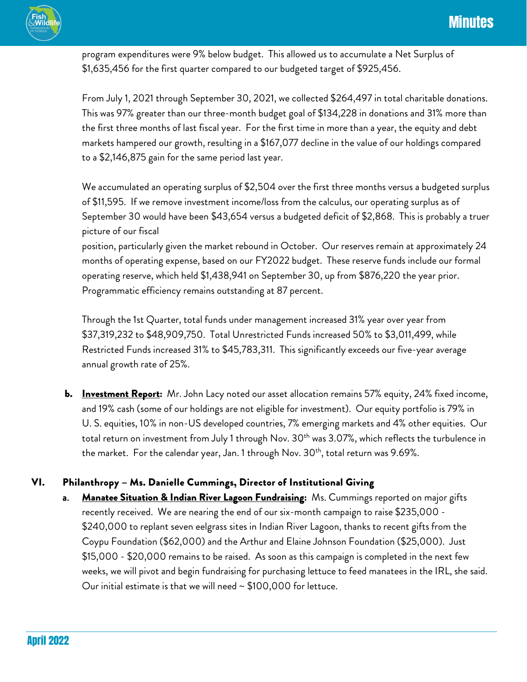program expenditures were 9% below budget. This allowed us to accumulate a Net Surplus of \$1,635,456 for the first quarter compared to our budgeted target of \$925,456.

From July 1, 2021 through September 30, 2021, we collected \$264,497 in total charitable donations. This was 97% greater than our three-month budget goal of \$134,228 in donations and 31% more than the first three months of last fiscal year. For the first time in more than a year, the equity and debt markets hampered our growth, resulting in a \$167,077 decline in the value of our holdings compared to a \$2,146,875 gain for the same period last year.

We accumulated an operating surplus of \$2,504 over the first three months versus a budgeted surplus of \$11,595. If we remove investment income/loss from the calculus, our operating surplus as of September 30 would have been \$43,654 versus a budgeted deficit of \$2,868. This is probably a truer picture of our fiscal

position, particularly given the market rebound in October. Our reserves remain at approximately 24 months of operating expense, based on our FY2022 budget. These reserve funds include our formal operating reserve, which held \$1,438,941 on September 30, up from \$876,220 the year prior. Programmatic efficiency remains outstanding at 87 percent.

Through the 1st Quarter, total funds under management increased 31% year over year from \$37,319,232 to \$48,909,750. Total Unrestricted Funds increased 50% to \$3,011,499, while Restricted Funds increased 31% to \$45,783,311. This significantly exceeds our five-year average annual growth rate of 25%.

b. Investment Report: Mr. John Lacy noted our asset allocation remains 57% equity, 24% fixed income, and 19% cash (some of our holdings are not eligible for investment). Our equity portfolio is 79% in U. S. equities, 10% in non-US developed countries, 7% emerging markets and 4% other equities. Our total return on investment from July 1 through Nov. 30<sup>th</sup> was 3.07%, which reflects the turbulence in the market. For the calendar year, Jan. 1 through Nov. 30<sup>th</sup>, total return was 9.69%.

## VI. Philanthropy – Ms. Danielle Cummings, Director of Institutional Giving

**Manatee Situation & Indian River Lagoon Fundraising:** Ms. Cummings reported on major gifts recently received. We are nearing the end of our six-month campaign to raise \$235,000 - \$240,000 to replant seven eelgrass sites in Indian River Lagoon, thanks to recent gifts from the Coypu Foundation (\$62,000) and the Arthur and Elaine Johnson Foundation (\$25,000). Just \$15,000 - \$20,000 remains to be raised. As soon as this campaign is completed in the next few weeks, we will pivot and begin fundraising for purchasing lettuce to feed manatees in the IRL, she said. Our initial estimate is that we will need  $\sim$  \$100,000 for lettuce.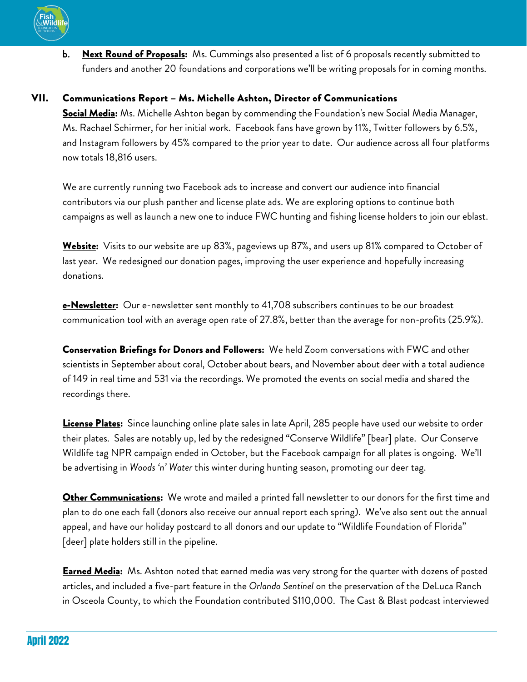

b. Next Round of Proposals: Ms. Cummings also presented a list of 6 proposals recently submitted to funders and another 20 foundations and corporations we'll be writing proposals for in coming months.

## VII. Communications Report – Ms. Michelle Ashton, Director of Communications

Social Media: Ms. Michelle Ashton began by commending the Foundation's new Social Media Manager, Ms. Rachael Schirmer, for her initial work. Facebook fans have grown by 11%, Twitter followers by 6.5%, and Instagram followers by 45% compared to the prior year to date. Our audience across all four platforms now totals 18,816 users.

We are currently running two Facebook ads to increase and convert our audience into financial contributors via our plush panther and license plate ads. We are exploring options to continue both campaigns as well as launch a new one to induce FWC hunting and fishing license holders to join our eblast.

Website: Visits to our website are up 83%, pageviews up 87%, and users up 81% compared to October of last year. We redesigned our donation pages, improving the user experience and hopefully increasing donations.

e-Newsletter: Our e-newsletter sent monthly to 41,708 subscribers continues to be our broadest communication tool with an average open rate of 27.8%, better than the average for non-profits (25.9%).

Conservation Briefings for Donors and Followers: We held Zoom conversations with FWC and other scientists in September about coral, October about bears, and November about deer with a total audience of 149 in real time and 531 via the recordings. We promoted the events on social media and shared the recordings there.

License Plates: Since launching online plate sales in late April, 285 people have used our website to order their plates. Sales are notably up, led by the redesigned "Conserve Wildlife" [bear] plate. Our Conserve Wildlife tag NPR campaign ended in October, but the Facebook campaign for all plates is ongoing. We'll be advertising in *Woods 'n' Water* this winter during hunting season, promoting our deer tag.

Other Communications: We wrote and mailed a printed fall newsletter to our donors for the first time and plan to do one each fall (donors also receive our annual report each spring). We've also sent out the annual appeal, and have our holiday postcard to all donors and our update to "Wildlife Foundation of Florida" [deer] plate holders still in the pipeline.

**Earned Media:** Ms. Ashton noted that earned media was very strong for the quarter with dozens of posted articles, and included a five-part feature in the *Orlando Sentinel* on the preservation of the DeLuca Ranch in Osceola County, to which the Foundation contributed \$110,000. The Cast & Blast podcast interviewed